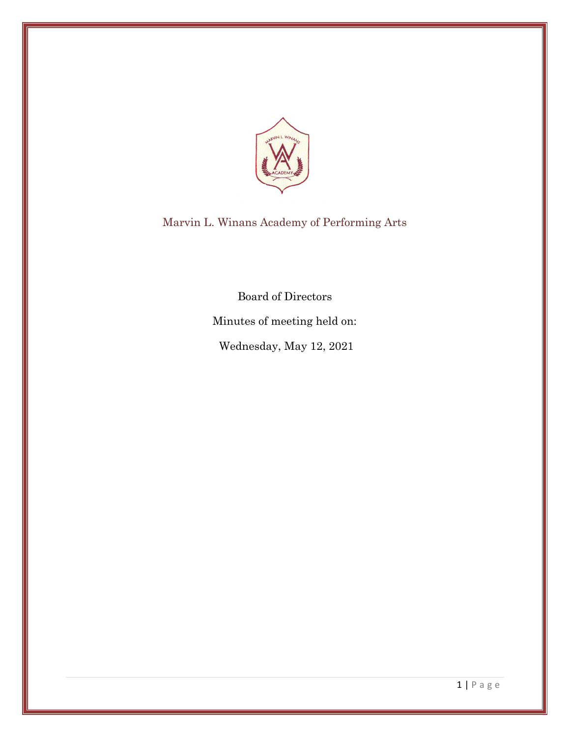

Marvin L. Winans Academy of Performing Arts

Board of Directors

Minutes of meeting held on:

Wednesday, May 12, 2021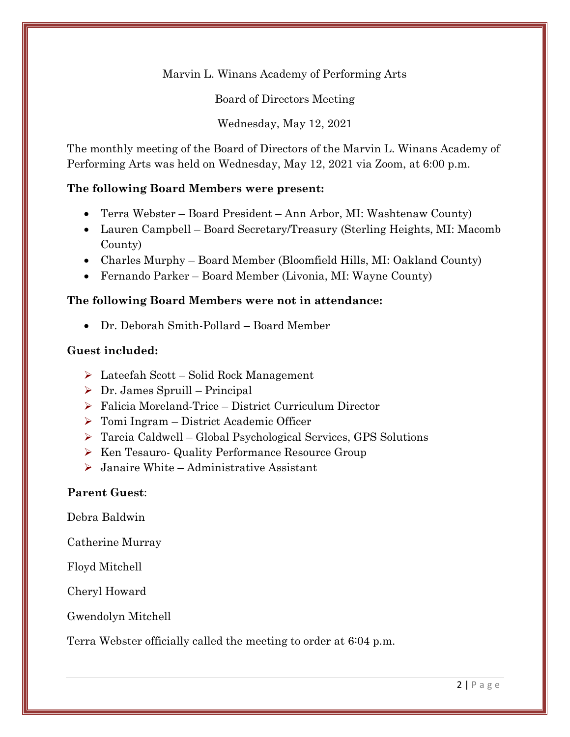Marvin L. Winans Academy of Performing Arts

Board of Directors Meeting

Wednesday, May 12, 2021

The monthly meeting of the Board of Directors of the Marvin L. Winans Academy of Performing Arts was held on Wednesday, May 12, 2021 via Zoom, at 6:00 p.m.

### **The following Board Members were present:**

- Terra Webster Board President Ann Arbor, MI: Washtenaw County)
- Lauren Campbell Board Secretary/Treasury (Sterling Heights, MI: Macomb County)
- Charles Murphy Board Member (Bloomfield Hills, MI: Oakland County)
- Fernando Parker Board Member (Livonia, MI: Wayne County)

### **The following Board Members were not in attendance:**

• Dr. Deborah Smith-Pollard – Board Member

### **Guest included:**

- ➢ Lateefah Scott Solid Rock Management
- $\triangleright$  Dr. James Spruill Principal
- ➢ Falicia Moreland-Trice District Curriculum Director
- ➢ Tomi Ingram District Academic Officer
- ➢ Tareia Caldwell Global Psychological Services, GPS Solutions
- ➢ Ken Tesauro- Quality Performance Resource Group
- ➢ Janaire White Administrative Assistant

### **Parent Guest**:

Debra Baldwin

Catherine Murray

Floyd Mitchell

Cheryl Howard

Gwendolyn Mitchell

Terra Webster officially called the meeting to order at 6:04 p.m.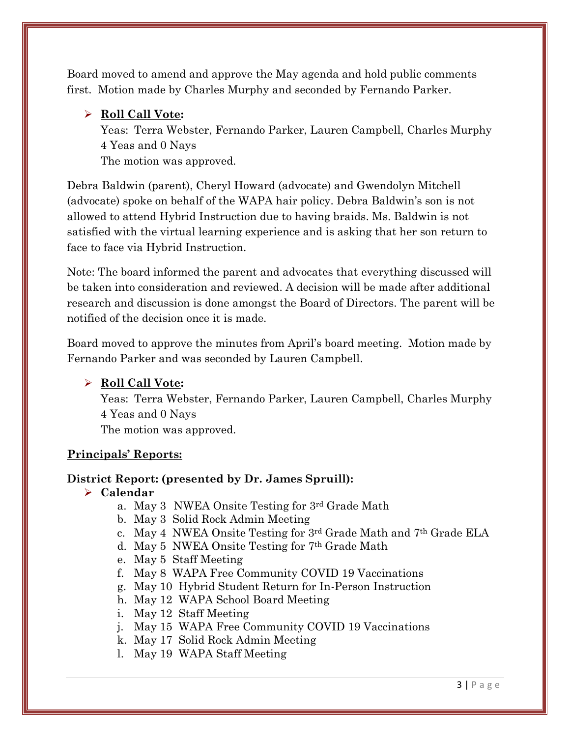Board moved to amend and approve the May agenda and hold public comments first. Motion made by Charles Murphy and seconded by Fernando Parker.

### ➢ **Roll Call Vote:**

Yeas: Terra Webster, Fernando Parker, Lauren Campbell, Charles Murphy 4 Yeas and 0 Nays

The motion was approved.

Debra Baldwin (parent), Cheryl Howard (advocate) and Gwendolyn Mitchell (advocate) spoke on behalf of the WAPA hair policy. Debra Baldwin's son is not allowed to attend Hybrid Instruction due to having braids. Ms. Baldwin is not satisfied with the virtual learning experience and is asking that her son return to face to face via Hybrid Instruction.

Note: The board informed the parent and advocates that everything discussed will be taken into consideration and reviewed. A decision will be made after additional research and discussion is done amongst the Board of Directors. The parent will be notified of the decision once it is made.

Board moved to approve the minutes from April's board meeting. Motion made by Fernando Parker and was seconded by Lauren Campbell.

# ➢ **Roll Call Vote:**

Yeas: Terra Webster, Fernando Parker, Lauren Campbell, Charles Murphy 4 Yeas and 0 Nays The motion was approved.

### **Principals' Reports:**

# **District Report: (presented by Dr. James Spruill):**

# ➢ **Calendar**

- a. May 3 NWEA Onsite Testing for 3rd Grade Math
- b. May 3 Solid Rock Admin Meeting
- c. May 4 NWEA Onsite Testing for 3rd Grade Math and 7th Grade ELA
- d. May 5 NWEA Onsite Testing for 7th Grade Math
- e. May 5 Staff Meeting
- f. May 8 WAPA Free Community COVID 19 Vaccinations
- g. May 10 Hybrid Student Return for In-Person Instruction
- h. May 12 WAPA School Board Meeting
- i. May 12 Staff Meeting
- j. May 15 WAPA Free Community COVID 19 Vaccinations
- k. May 17 Solid Rock Admin Meeting
- l. May 19 WAPA Staff Meeting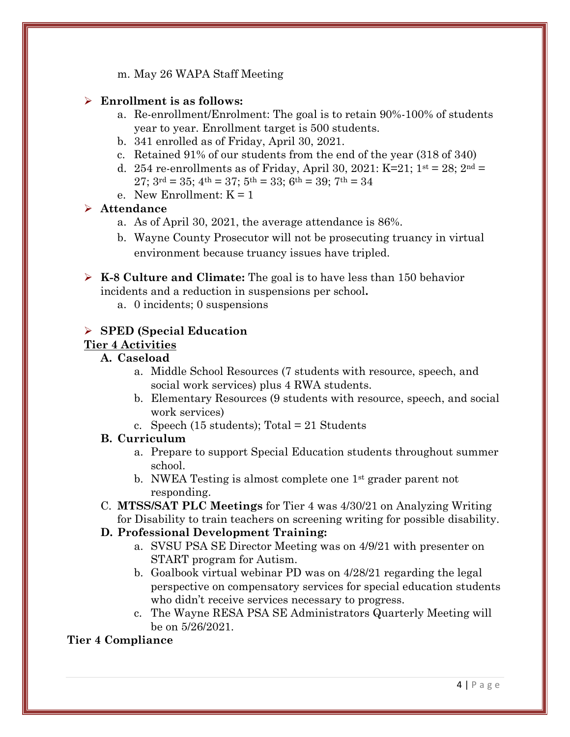m. May 26 WAPA Staff Meeting

#### ➢ **Enrollment is as follows:**

- a. Re-enrollment/Enrolment: The goal is to retain 90%-100% of students year to year. Enrollment target is 500 students.
- b. 341 enrolled as of Friday, April 30, 2021.
- c. Retained 91% of our students from the end of the year (318 of 340)
- d. 254 re-enrollments as of Friday, April 30, 2021: K=21;  $1^{st} = 28$ ;  $2^{nd} =$  $27$ ;  $3^{\text{rd}} = 35$ ;  $4^{\text{th}} = 37$ ;  $5^{\text{th}} = 33$ ;  $6^{\text{th}} = 39$ ;  $7^{\text{th}} = 34$
- e. New Enrollment:  $K = 1$

#### ➢ **Attendance**

- a. As of April 30, 2021, the average attendance is 86%.
- b. Wayne County Prosecutor will not be prosecuting truancy in virtual environment because truancy issues have tripled.

➢ **K-8 Culture and Climate:** The goal is to have less than 150 behavior incidents and a reduction in suspensions per school**.** 

a. 0 incidents; 0 suspensions

#### ➢ **SPED (Special Education**

#### **Tier 4 Activities**

#### **A. Caseload**

- a. Middle School Resources (7 students with resource, speech, and social work services) plus 4 RWA students.
- b. Elementary Resources (9 students with resource, speech, and social work services)
- c. Speech (15 students); Total = 21 Students

#### **B. Curriculum**

- a. Prepare to support Special Education students throughout summer school.
- b. NWEA Testing is almost complete one 1st grader parent not responding.
- C. **MTSS/SAT PLC Meetings** for Tier 4 was 4/30/21 on Analyzing Writing for Disability to train teachers on screening writing for possible disability.

#### **D. Professional Development Training:**

- a. SVSU PSA SE Director Meeting was on 4/9/21 with presenter on START program for Autism.
- b. Goalbook virtual webinar PD was on 4/28/21 regarding the legal perspective on compensatory services for special education students who didn't receive services necessary to progress.
- c. The Wayne RESA PSA SE Administrators Quarterly Meeting will be on 5/26/2021.

### **Tier 4 Compliance**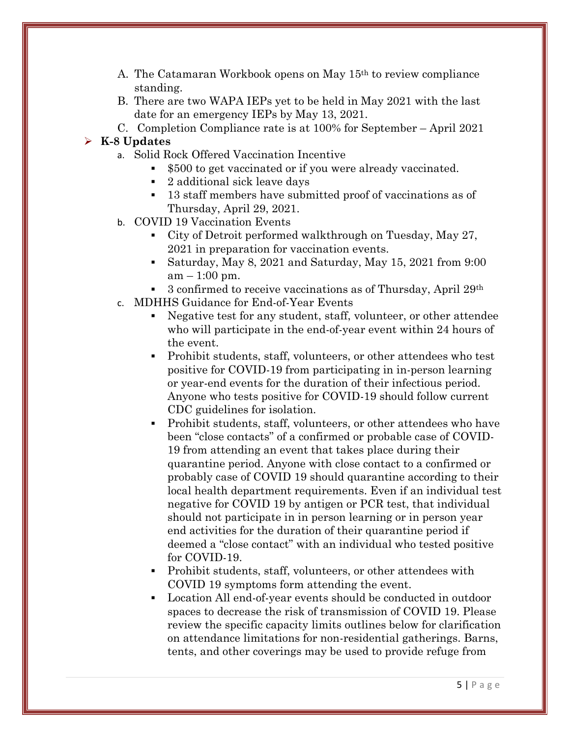- A. The Catamaran Workbook opens on May 15th to review compliance standing.
- B. There are two WAPA IEPs yet to be held in May 2021 with the last date for an emergency IEPs by May 13, 2021.
- C. Completion Compliance rate is at 100% for September April 2021

### ➢ **K-8 Updates**

- a. Solid Rock Offered Vaccination Incentive
	- \$500 to get vaccinated or if you were already vaccinated.
	- 2 additional sick leave days
	- 13 staff members have submitted proof of vaccinations as of Thursday, April 29, 2021.
- b. COVID 19 Vaccination Events
	- City of Detroit performed walkthrough on Tuesday, May 27, 2021 in preparation for vaccination events.
	- Saturday, May 8, 2021 and Saturday, May 15, 2021 from 9:00  $am - 1:00$  pm.
	- 3 confirmed to receive vaccinations as of Thursday, April 29th
- c. MDHHS Guidance for End-of-Year Events
	- Negative test for any student, staff, volunteer, or other attendee who will participate in the end-of-year event within 24 hours of the event.
	- Prohibit students, staff, volunteers, or other attendees who test positive for COVID-19 from participating in in-person learning or year-end events for the duration of their infectious period. Anyone who tests positive for COVID-19 should follow current CDC guidelines for isolation.
	- Prohibit students, staff, volunteers, or other attendees who have been "close contacts" of a confirmed or probable case of COVID-19 from attending an event that takes place during their quarantine period. Anyone with close contact to a confirmed or probably case of COVID 19 should quarantine according to their local health department requirements. Even if an individual test negative for COVID 19 by antigen or PCR test, that individual should not participate in in person learning or in person year end activities for the duration of their quarantine period if deemed a "close contact" with an individual who tested positive for COVID-19.
	- Prohibit students, staff, volunteers, or other attendees with COVID 19 symptoms form attending the event.
	- Location All end-of-year events should be conducted in outdoor spaces to decrease the risk of transmission of COVID 19. Please review the specific capacity limits outlines below for clarification on attendance limitations for non-residential gatherings. Barns, tents, and other coverings may be used to provide refuge from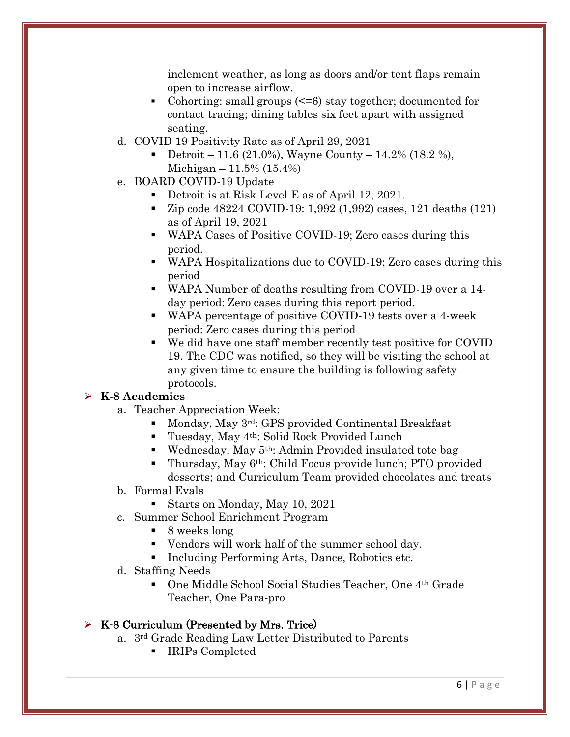inclement weather, as long as doors and/or tent flaps remain open to increase airflow.

- Cohorting: small groups  $\leq 6$ ) stay together; documented for contact tracing; dining tables six feet apart with assigned seating.
- d. COVID 19 Positivity Rate as of April 29, 2021
	- Detroit 11.6 (21.0%), Wayne County 14.2% (18.2 %), Michigan –  $11.5\%$  (15.4%)
- e. BOARD COVID-19 Update
	- Detroit is at Risk Level E as of April 12, 2021.
	- Zip code 48224 COVID-19: 1,992 (1,992) cases, 121 deaths (121) as of April 19, 2021
	- WAPA Cases of Positive COVID-19; Zero cases during this period.
	- WAPA Hospitalizations due to COVID-19; Zero cases during this period
	- WAPA Number of deaths resulting from COVID-19 over a 14 day period: Zero cases during this report period.
	- WAPA percentage of positive COVID-19 tests over a 4-week period: Zero cases during this period
	- We did have one staff member recently test positive for COVID 19. The CDC was notified, so they will be visiting the school at any given time to ensure the building is following safety protocols.

# ➢ **K-8 Academics**

- a. Teacher Appreciation Week:
	- Monday, May 3rd: GPS provided Continental Breakfast
	- Tuesday, May 4<sup>th</sup>: Solid Rock Provided Lunch
	- Wednesday, May  $5<sup>th</sup>$ : Admin Provided insulated tote bag
	- Thursday, May 6<sup>th</sup>: Child Focus provide lunch; PTO provided desserts; and Curriculum Team provided chocolates and treats
- b. Formal Evals
	- Starts on Monday, May 10, 2021
- c. Summer School Enrichment Program
	- 8 weeks long
	- Vendors will work half of the summer school day.
	- Including Performing Arts, Dance, Robotics etc.
- d. Staffing Needs
	- One Middle School Social Studies Teacher, One 4<sup>th</sup> Grade Teacher, One Para-pro

### $\triangleright$  K-8 Curriculum (Presented by Mrs. Trice)

- a. 3rd Grade Reading Law Letter Distributed to Parents
	- IRIPs Completed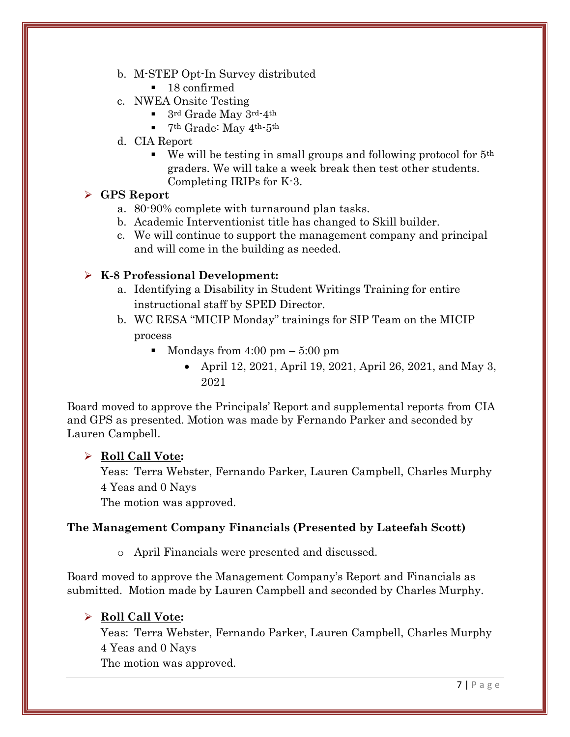- b. M-STEP Opt-In Survey distributed
	- 18 confirmed
- c. NWEA Onsite Testing
	- $\blacksquare$  3rd Grade May 3rd-4th
	- $\blacksquare$  7<sup>th</sup> Grade: May 4<sup>th-5th</sup>
- d. CIA Report
	- $\bullet$  We will be testing in small groups and following protocol for  $5<sup>th</sup>$ graders. We will take a week break then test other students. Completing IRIPs for K-3.

### ➢ **GPS Report**

- a. 80-90% complete with turnaround plan tasks.
- b. Academic Interventionist title has changed to Skill builder.
- c. We will continue to support the management company and principal and will come in the building as needed.

# ➢ **K-8 Professional Development:**

- a. Identifying a Disability in Student Writings Training for entire instructional staff by SPED Director.
- b. WC RESA "MICIP Monday" trainings for SIP Team on the MICIP process
	- Mondays from  $4:00 \text{ pm} 5:00 \text{ pm}$ 
		- April 12, 2021, April 19, 2021, April 26, 2021, and May 3, 2021

Board moved to approve the Principals' Report and supplemental reports from CIA and GPS as presented. Motion was made by Fernando Parker and seconded by Lauren Campbell.

# ➢ **Roll Call Vote:**

Yeas: Terra Webster, Fernando Parker, Lauren Campbell, Charles Murphy 4 Yeas and 0 Nays

The motion was approved.

# **The Management Company Financials (Presented by Lateefah Scott)**

o April Financials were presented and discussed.

Board moved to approve the Management Company's Report and Financials as submitted. Motion made by Lauren Campbell and seconded by Charles Murphy.

# ➢ **Roll Call Vote:**

Yeas: Terra Webster, Fernando Parker, Lauren Campbell, Charles Murphy 4 Yeas and 0 Nays

The motion was approved.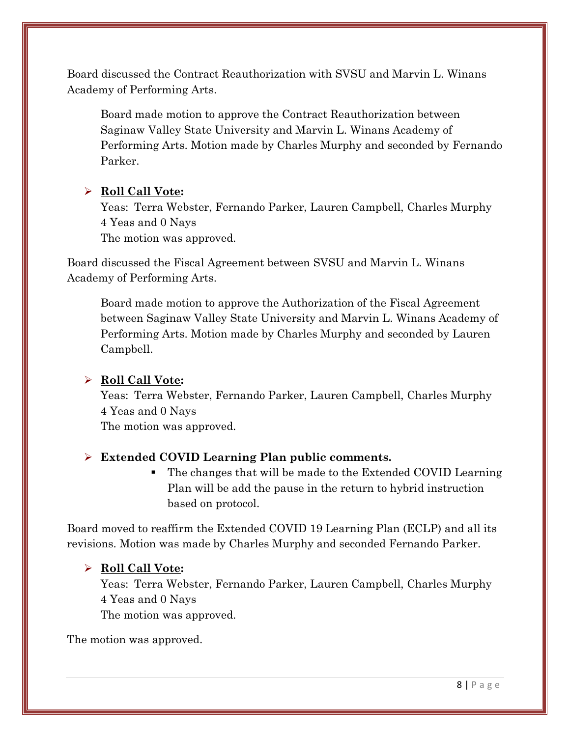Board discussed the Contract Reauthorization with SVSU and Marvin L. Winans Academy of Performing Arts.

Board made motion to approve the Contract Reauthorization between Saginaw Valley State University and Marvin L. Winans Academy of Performing Arts. Motion made by Charles Murphy and seconded by Fernando Parker.

# ➢ **Roll Call Vote:**

Yeas: Terra Webster, Fernando Parker, Lauren Campbell, Charles Murphy 4 Yeas and 0 Nays The motion was approved.

Board discussed the Fiscal Agreement between SVSU and Marvin L. Winans Academy of Performing Arts.

Board made motion to approve the Authorization of the Fiscal Agreement between Saginaw Valley State University and Marvin L. Winans Academy of Performing Arts. Motion made by Charles Murphy and seconded by Lauren Campbell.

# ➢ **Roll Call Vote:**

Yeas: Terra Webster, Fernando Parker, Lauren Campbell, Charles Murphy 4 Yeas and 0 Nays

The motion was approved.

# ➢ **Extended COVID Learning Plan public comments.**

▪ The changes that will be made to the Extended COVID Learning Plan will be add the pause in the return to hybrid instruction based on protocol.

Board moved to reaffirm the Extended COVID 19 Learning Plan (ECLP) and all its revisions. Motion was made by Charles Murphy and seconded Fernando Parker.

### ➢ **Roll Call Vote:**

Yeas: Terra Webster, Fernando Parker, Lauren Campbell, Charles Murphy 4 Yeas and 0 Nays The motion was approved.

The motion was approved.